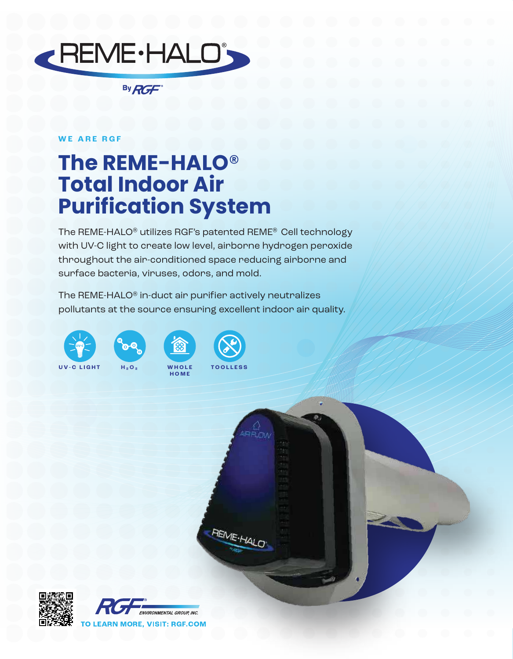

By RGF

## **WE ARE RGF**

## **The REME-HALO**® **Total Indoor Air Purification System**

The REME-HALO® utilizes RGF's patented REME® Cell technology with UV-C light to create low level, airborne hydrogen peroxide throughout the air-conditioned space reducing airborne and surface bacteria, viruses, odors, and mold.

The REME-HALO® in-duct air purifier actively neutralizes pollutants at the source ensuring excellent indoor air quality.